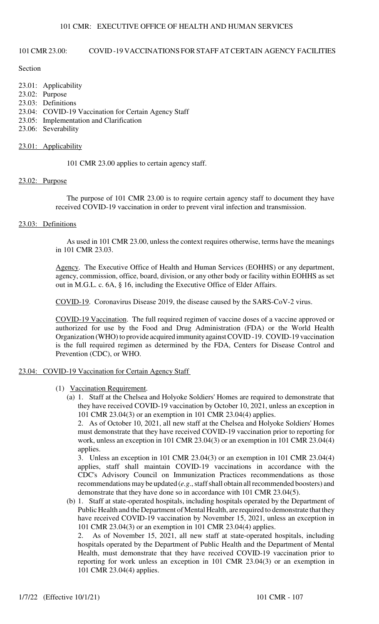# 101 CMR 23.00: COVID -19 VACCINATIONS FOR STAFF AT CERTAIN AGENCY FACILITIES

### Section

| 23.01: Applicability                                 |
|------------------------------------------------------|
| $23.02$ : Purpose                                    |
| 23.03: Definitions                                   |
| 23.04: COVID-19 Vaccination for Certain Agency Staff |
| 23.05: Implementation and Clarification              |
| 23.06: Severability                                  |
|                                                      |
|                                                      |

# 23.01: Applicability

101 CMR 23.00 applies to certain agency staff.

### 23.02: Purpose

The purpose of 101 CMR 23.00 is to require certain agency staff to document they have received COVID-19 vaccination in order to prevent viral infection and transmission.

# 23.03: Definitions

As used in 101 CMR 23.00, unless the context requires otherwise, terms have the meanings in 101 CMR 23.03.

Agency. The Executive Office of Health and Human Services (EOHHS) or any department, agency, commission, office, board, division, or any other body or facility within EOHHS as set out in M.G.L. c. 6A, § 16, including the Executive Office of Elder Affairs.

COVID-19. Coronavirus Disease 2019, the disease caused by the SARS-CoV-2 virus.

COVID-19 Vaccination. The full required regimen of vaccine doses of a vaccine approved or authorized for use by the Food and Drug Administration (FDA) or the World Health Organization (WHO) to provide acquired immunity against COVID -19. COVID-19 vaccination is the full required regimen as determined by the FDA, Centers for Disease Control and Prevention (CDC), or WHO.

### 23.04: COVID-19 Vaccination for Certain Agency Staff

- (1) Vaccination Requirement.
	- (a) 1. Staff at the Chelsea and Holyoke Soldiers' Homes are required to demonstrate that they have received COVID-19 vaccination by October 10, 2021, unless an exception in 101 CMR 23.04(3) or an exemption in 101 CMR 23.04(4) applies.

2. As of October 10, 2021, all new staff at the Chelsea and Holyoke Soldiers' Homes must demonstrate that they have received COVID-19 vaccination prior to reporting for work, unless an exception in 101 CMR 23.04(3) or an exemption in 101 CMR 23.04(4) applies.

3. Unless an exception in 101 CMR 23.04(3) or an exemption in 101 CMR 23.04(4) applies, staff shall maintain COVID-19 vaccinations in accordance with the CDC's Advisory Council on Immunization Practices recommendations as those recommendations may be updated (*e.g*., staff shall obtain all recommended boosters) and demonstrate that they have done so in accordance with 101 CMR 23.04(5).

(b) 1. Staff at state-operated hospitals, including hospitals operated by the Department of Public Health and the Department of Mental Health, are required to demonstrate that they have received COVID-19 vaccination by November 15, 2021, unless an exception in 101 CMR 23.04(3) or an exemption in 101 CMR 23.04(4) applies.

2. As of November 15, 2021, all new staff at state-operated hospitals, including hospitals operated by the Department of Public Health and the Department of Mental Health, must demonstrate that they have received COVID-19 vaccination prior to reporting for work unless an exception in 101 CMR 23.04(3) or an exemption in 101 CMR 23.04(4) applies.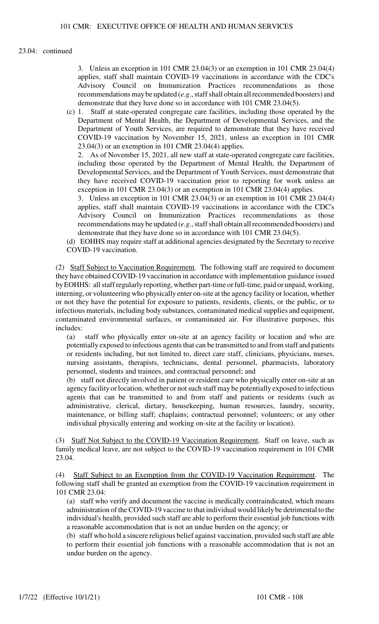# 23.04: continued

3. Unless an exception in 101 CMR 23.04(3) or an exemption in 101 CMR 23.04(4) applies, staff shall maintain COVID-19 vaccinations in accordance with the CDC's Advisory Council on Immunization Practices recommendations as those recommendations may be updated (*e.g*., staff shall obtain all recommended boosters) and demonstrate that they have done so in accordance with 101 CMR 23.04(5).

(c) 1. Staff at state-operated congregate care facilities, including those operated by the Department of Mental Health, the Department of Developmental Services, and the Department of Youth Services, are required to demonstrate that they have received COVID-19 vaccination by November 15, 2021, unless an exception in 101 CMR 23.04(3) or an exemption in 101 CMR 23.04(4) applies.

2. As of November 15, 2021, all new staff at state-operated congregate care facilities, including those operated by the Department of Mental Health, the Department of Developmental Services, and the Department of Youth Services, must demonstrate that they have received COVID-19 vaccination prior to reporting for work unless an exception in 101 CMR 23.04(3) or an exemption in 101 CMR 23.04(4) applies.

3. Unless an exception in 101 CMR 23.04(3) or an exemption in 101 CMR 23.04(4) applies, staff shall maintain COVID-19 vaccinations in accordance with the CDC's Advisory Council on Immunization Practices recommendations as those recommendations may be updated (*e.g*., staff shall obtain all recommended boosters) and demonstrate that they have done so in accordance with 101 CMR 23.04(5).

(d) EOHHS may require staff at additional agencies designated by the Secretary to receive COVID-19 vaccination.

(2) Staff Subject to Vaccination Requirement. The following staff are required to document they have obtained COVID-19 vaccination in accordance with implementation guidance issued by EOHHS: all staff regularly reporting, whether part-time or full-time, paid or unpaid, working, interning, or volunteering who physically enter on-site at the agency facility or location, whether or not they have the potential for exposure to patients, residents, clients, or the public, or to infectious materials, including body substances, contaminated medical supplies and equipment, contaminated environmental surfaces, or contaminated air. For illustrative purposes, this includes:

(a) staff who physically enter on-site at an agency facility or location and who are potentially exposed to infectious agents that can be transmitted to and from staff and patients or residents including, but not limited to, direct care staff, clinicians, physicians, nurses, nursing assistants, therapists, technicians, dental personnel, pharmacists, laboratory personnel, students and trainees, and contractual personnel; and

(b) staff not directly involved in patient or resident care who physically enter on-site at an agency facility or location, whether or not such staff may be potentially exposed to infectious agents that can be transmitted to and from staff and patients or residents (such as administrative, clerical, dietary, housekeeping, human resources, laundry, security, maintenance, or billing staff; chaplains; contractual personnel; volunteers; or any other individual physically entering and working on-site at the facility or location).

(3) Staff Not Subject to the COVID-19 Vaccination Requirement. Staff on leave, such as family medical leave, are not subject to the COVID-19 vaccination requirement in 101 CMR 23.04.

(4) Staff Subject to an Exemption from the COVID-19 Vaccination Requirement. The following staff shall be granted an exemption from the COVID-19 vaccination requirement in 101 CMR 23.04:

(a) staff who verify and document the vaccine is medically contraindicated, which means administration of the COVID-19 vaccine to that individual would likely be detrimental to the individual's health, provided such staff are able to perform their essential job functions with a reasonable accommodation that is not an undue burden on the agency; or

(b) staff who hold a sincere religious belief against vaccination, provided such staff are able to perform their essential job functions with a reasonable accommodation that is not an undue burden on the agency.